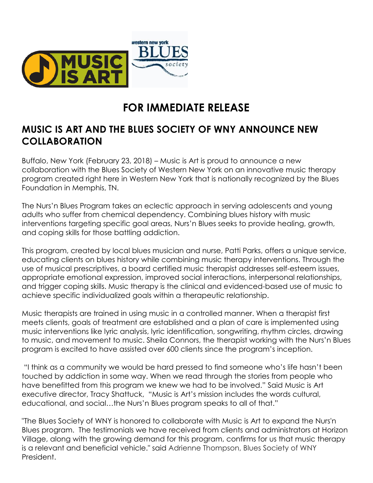

## **FOR IMMEDIATE RELEASE**

## **MUSIC IS ART AND THE BLUES SOCIETY OF WNY ANNOUNCE NEW COLLABORATION**

Buffalo, New York (February 23, 2018) – Music is Art is proud to announce a new collaboration with the Blues Society of Western New York on an innovative music therapy program created right here in Western New York that is nationally recognized by the Blues Foundation in Memphis, TN.

The Nurs'n Blues Program takes an eclectic approach in serving adolescents and young adults who suffer from chemical dependency. Combining blues history with music interventions targeting specific goal areas, Nurs'n Blues seeks to provide healing, growth, and coping skills for those battling addiction.

This program, created by local blues musician and nurse, Patti Parks, offers a unique service, educating clients on blues history while combining music therapy interventions. Through the use of musical prescriptives, a board certified music therapist addresses self-esteem issues, appropriate emotional expression, improved social interactions, interpersonal relationships, and trigger coping skills. Music therapy is the clinical and evidenced-based use of music to achieve specific individualized goals within a therapeutic relationship.

Music therapists are trained in using music in a controlled manner. When a therapist first meets clients, goals of treatment are established and a plan of care is implemented using music interventions like lyric analysis, lyric identification, songwriting, rhythm circles, drawing to music, and movement to music. Sheila Connors, the therapist working with the Nurs'n Blues program is excited to have assisted over 600 clients since the program's inception.

"I think as a community we would be hard pressed to find someone who's life hasn't been touched by addiction in some way. When we read through the stories from people who have benefitted from this program we knew we had to be involved." Said Music is Art executive director, Tracy Shattuck, "Music is Art's mission includes the words cultural, educational, and social…the Nurs'n Blues program speaks to all of that."

"The Blues Society of WNY is honored to collaborate with Music is Art to expand the Nurs'n Blues program. The testimonials we have received from clients and administrators at Horizon Village, along with the growing demand for this program, confirms for us that music therapy is a relevant and beneficial vehicle." said Adrienne Thompson, Blues Society of WNY President.